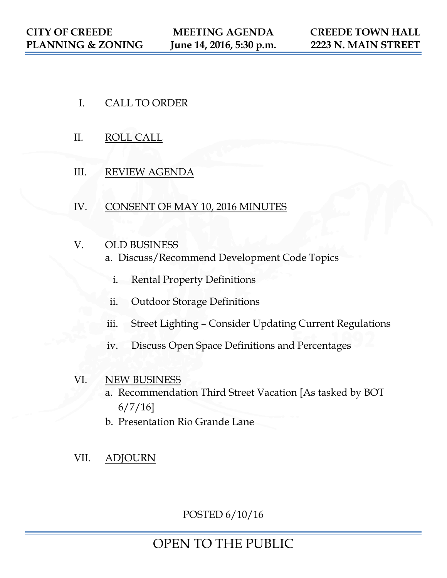- I. CALL TO ORDER
- II. ROLL CALL
- III. REVIEW AGENDA
- IV. CONSENT OF MAY 10, 2016 MINUTES
- V. OLD BUSINESS a. Discuss/Recommend Development Code Topics
	- i. Rental Property Definitions
	- ii. Outdoor Storage Definitions
	- iii. Street Lighting Consider Updating Current Regulations
	- iv. Discuss Open Space Definitions and Percentages
- VI. NEW BUSINESS
	- a. Recommendation Third Street Vacation [As tasked by BOT 6/7/16]
	- b. Presentation Rio Grande Lane
- VII. ADJOURN

POSTED 6/10/16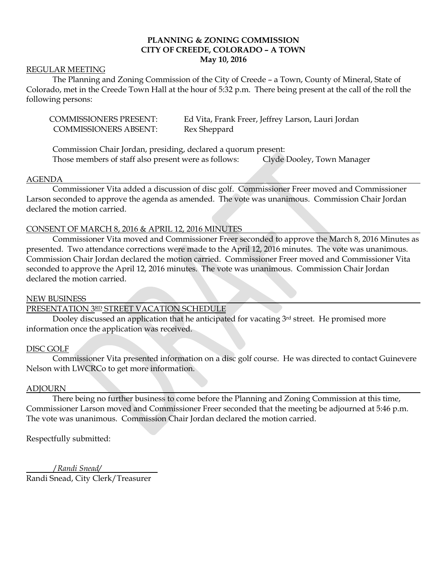# **PLANNING & ZONING COMMISSION CITY OF CREEDE, COLORADO – A TOWN May 10, 2016**

# REGULAR MEETING

The Planning and Zoning Commission of the City of Creede – a Town, County of Mineral, State of Colorado, met in the Creede Town Hall at the hour of 5:32 p.m. There being present at the call of the roll the following persons:

| <b>COMMISSIONERS PRESENT:</b> | Ed Vita, Frank Freer, Jeffrey Larson, Lauri Jordan |
|-------------------------------|----------------------------------------------------|
| <b>COMMISSIONERS ABSENT:</b>  | Rex Sheppard                                       |

Commission Chair Jordan, presiding, declared a quorum present: Those members of staff also present were as follows: Clyde Dooley, Town Manager

# AGENDA

Commissioner Vita added a discussion of disc golf. Commissioner Freer moved and Commissioner Larson seconded to approve the agenda as amended. The vote was unanimous. Commission Chair Jordan declared the motion carried.

# CONSENT OF MARCH 8, 2016 & APRIL 12, 2016 MINUTES

 Commissioner Vita moved and Commissioner Freer seconded to approve the March 8, 2016 Minutes as presented. Two attendance corrections were made to the April 12, 2016 minutes. The vote was unanimous. Commission Chair Jordan declared the motion carried. Commissioner Freer moved and Commissioner Vita seconded to approve the April 12, 2016 minutes. The vote was unanimous. Commission Chair Jordan declared the motion carried.

# NEW BUSINESS

# PRESENTATION 3RD STREET VACATION SCHEDULE

Dooley discussed an application that he anticipated for vacating 3rd street. He promised more information once the application was received.

# DISC GOLF

 Commissioner Vita presented information on a disc golf course. He was directed to contact Guinevere Nelson with LWCRCo to get more information.

# ADJOURN

There being no further business to come before the Planning and Zoning Commission at this time, Commissioner Larson moved and Commissioner Freer seconded that the meeting be adjourned at 5:46 p.m. The vote was unanimous. Commission Chair Jordan declared the motion carried.

Respectfully submitted:

/*Randi Snead/* Randi Snead, City Clerk/Treasurer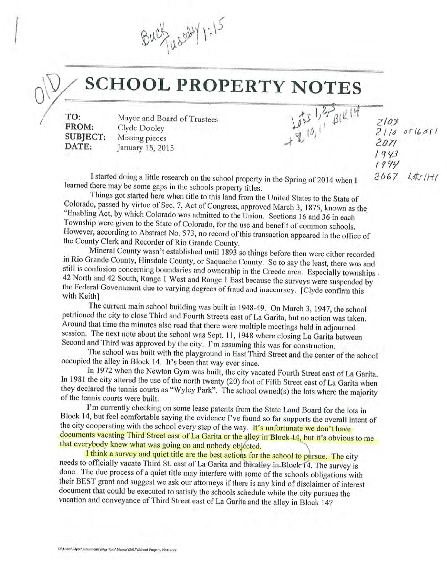105 / 4 500 / 1:15

# **SCHOOL PROPERTY NOTES** Lots 1,2 BIKIH

TO: FROM: SUBJECT: DATE:

Mayor and Board of Trustees Clyde Dooley Missing pieces January 15, 2015

I started doing a little research on the school property in the Spring of 2014 when I learned there may be some gaps in the schools property titles.

Things got started here when title to this land from the United States to the State of Colorado, passed by virtue of Sec. 7, Act of Congress, approved March 3, 1875, known as the "Enabling Act, by which Colorado was admitted to the Union. Sections 16 and 36 in each Township were given to the State of Colorado, for the use and benefit of common schools. However, according to Abstract No. 573, no record of this transaction appeared in the office of the County Clerk and Recorder of Rio Grande County.

Mineral County wasn't established until 1893 so things before then were either recorded in Rio Grande County, Hinsdale County, or Saquache County. So to say the least, there was and still is confusion concerning boundaries and ownership in the Creede area. Especially townships 42 North and 42 South, Range 1 West and Range 1 East because the surveys were suspended by the Federal Government due to varying degrees of fraud and inaccuracy. [Clyde confirm this with Keith]

The current main school building was built in 1948-49. On March 3, 1947, the school petitioned the city to close Third and Fourth Streets east of La Garita, but no action was taken. Around that time the minutes also read that there were multiple meetings held in adjourned session. The next note about the school was Sept. 11, 1948 where closing La Garita between Second and Third was approved by the city. I'm assuming this was for construction.

The school was built with the playground in East Third Street and the center of the school occupied the alley in Block 14. It's been that way ever since.

In 1972 when the Newton Gym was built, the city vacated Fourth Street east of La Garita. In 1981 the city altered the use of the north twenty (20) foot of Fifth Street east of La Garita when they declared the tennis courts as "Wyley Park". The school owned(s) the lots where the majority of the tennis courts were built.

I'm currently checking on some lease patents from the State Land Board for the lots in Block 14, but feel comfortable saying the evidence I've found so far supports the overall intent of the city cooperating with the school every step of the way. It's unfortunate we don't have documents vacating Third Street east of La Garita or the alley in Block 14, but it's obvious to me that everybody knew what was going on and nobody objected.

I think a survey and quiet title are the best actions for the school to pursue. The city needs to officially vacate Third St. east of La Garita and the alley in Block 14. The survey is done. The due process of a quiet title may interfere with some of the schools obligations with their BEST grant and suggest we ask our attorneys if there is any kind of disclaimer of interest document that could be executed to satisfy the schools schedule while the city pursues the vacation and conveyance of Third Street east of La Garita and the alley in Block 14?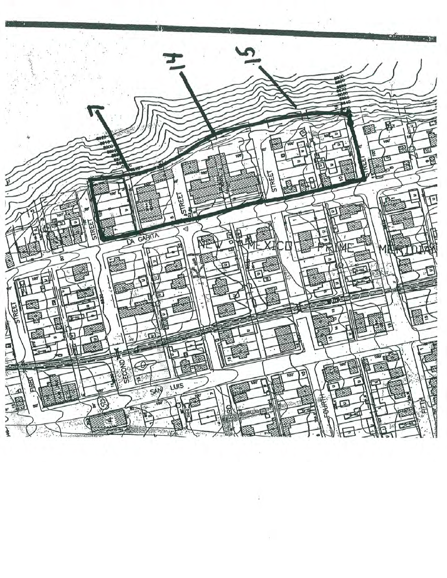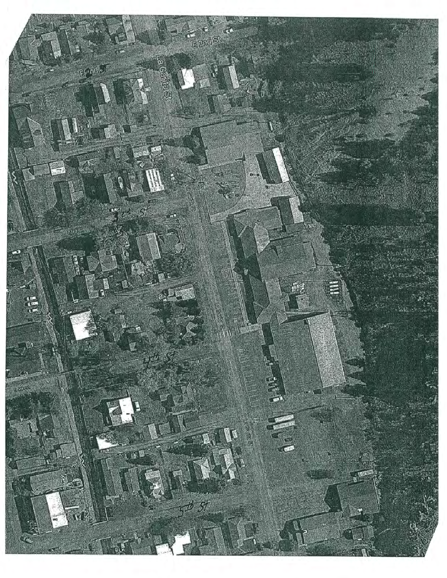